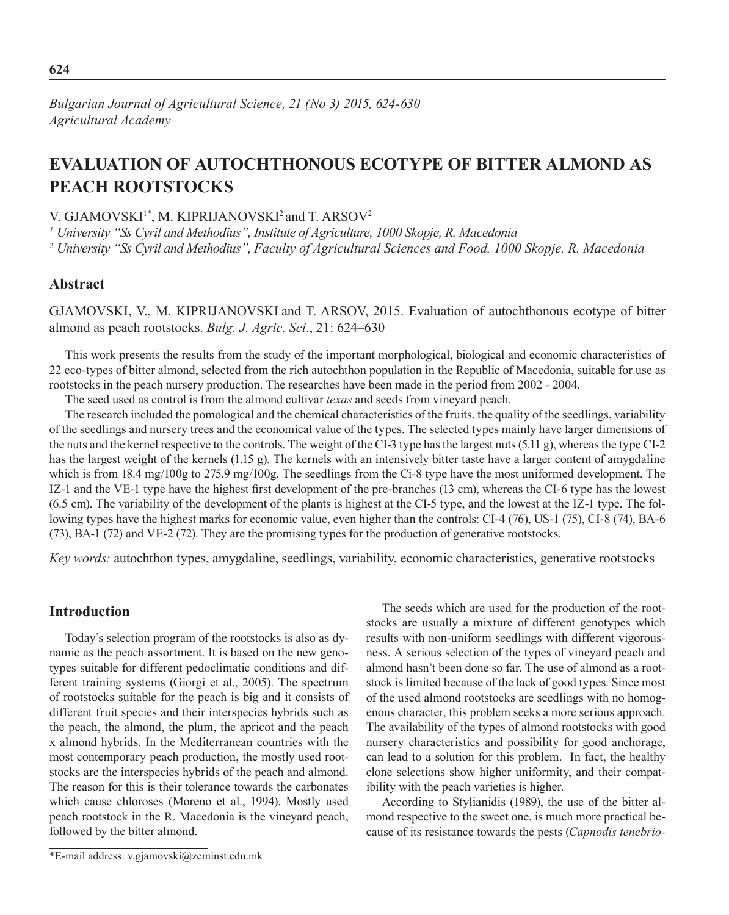# **Evaluation of autochthonous ecotype of bitter almond as PEACH ROOTSTOCKS**

V. GJAMOVSKI<sup>1\*</sup>, M. KIPRIJANOVSKI<sup>2</sup> and T. ARSOV<sup>2</sup>

*1 University "Ss Cyril and Methodius", Institute of Agriculture, 1000 Skopje, R. Macedonia*

*2 University "Ss Cyril and Methodius", Faculty of Agricultural Sciences and Food, 1000 Skopje, R. Macedonia*

## **Abstract**

Gjamovski, V., M. Kiprijanovski and T. Arsov, 2015. Evaluation of autochthonous ecotype of bitter almond as peach rootstocks. *Bulg. J. Agric. Sci*., 21: 624–630

This work presents the results from the study of the important morphological, biological and economic characteristics of 22 eco-types of bitter almond, selected from the rich autochthon population in the Republic of Macedonia, suitable for use as rootstocks in the peach nursery production. The researches have been made in the period from 2002 - 2004.

The seed used as control is from the almond cultivar *texas* and seeds from vineyard peach.

The research included the pomological and the chemical characteristics of the fruits, the quality of the seedlings, variability of the seedlings and nursery trees and the economical value of the types. The selected types mainly have larger dimensions of the nuts and the kernel respective to the controls. The weight of the CI-3 type has the largest nuts (5.11 g), whereas the type CI-2 has the largest weight of the kernels (1.15 g). The kernels with an intensively bitter taste have a larger content of amygdaline which is from 18.4 mg/100g to 275.9 mg/100g. The seedlings from the Ci-8 type have the most uniformed development. The IZ-1 and the VE-1 type have the highest first development of the pre-branches (13 cm), whereas the CI-6 type has the lowest (6.5 cm). The variability of the development of the plants is highest at the CI-5 type, and the lowest at the IZ-1 type. The following types have the highest marks for economic value, even higher than the controls: CI-4 (76), US-1 (75), CI-8 (74), BA-6 (73), BA-1 (72) and VE-2 (72). They are the promising types for the production of generative rootstocks.

*Key words:* autochthon types, amygdaline, seedlings, variability, economic characteristics, generative rootstocks

## **Introduction**

Today's selection program of the rootstocks is also as dynamic as the peach assortment. It is based on the new genotypes suitable for different pedoclimatic conditions and different training systems (Giorgi et al., 2005). The spectrum of rootstocks suitable for the peach is big and it consists of different fruit species and their interspecies hybrids such as the peach, the almond, the plum, the apricot and the peach x almond hybrids. In the Mediterranean countries with the most contemporary peach production, the mostly used rootstocks are the interspecies hybrids of the peach and almond. The reason for this is their tolerance towards the carbonates which cause chloroses (Moreno et al., 1994). Mostly used peach rootstock in the R. Macedonia is the vineyard peach, followed by the bitter almond.

The seeds which are used for the production of the rootstocks are usually a mixture of different genotypes which results with non-uniform seedlings with different vigorousness. A serious selection of the types of vineyard peach and almond hasn't been done so far. The use of almond as a rootstock is limited because of the lack of good types. Since most of the used almond rootstocks are seedlings with no homogenous character, this problem seeks a more serious approach. The availability of the types of almond rootstocks with good nursery characteristics and possibility for good anchorage, can lead to a solution for this problem. In fact, the healthy clone selections show higher uniformity, and their compatibility with the peach varieties is higher.

According to Stylianidis (1989), the use of the bitter almond respective to the sweet one, is much more practical because of its resistance towards the pests (*Capnodis tenebrio-*

<sup>\*</sup>E-mail address: v.gjamovski@zeminst.edu.mk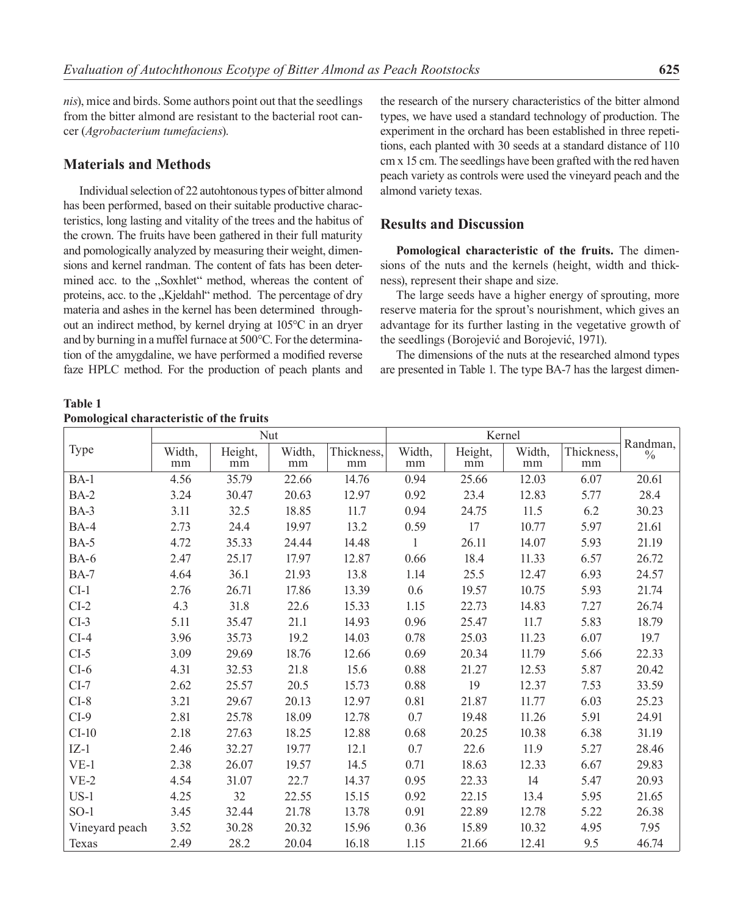*nis*), mice and birds. Some authors point out that the seedlings from the bitter almond are resistant to the bacterial root cancer (*Agrobacterium tumefaciens*).

#### **Materials and Methods**

Individual selection of 22 autohtonous types of bitter almond has been performed, based on their suitable productive characteristics, long lasting and vitality of the trees and the habitus of the crown. The fruits have been gathered in their full maturity and pomologically analyzed by measuring their weight, dimensions and kernel randman. The content of fats has been determined acc. to the "Soxhlet" method, whereas the content of proteins, acc. to the "Kjeldahl" method. The percentage of dry materia and ashes in the kernel has been determined throughout an indirect method, by kernel drying at 105°С in an dryer and by burning in a muffel furnace at 500°С. For the determination of the amygdaline, we have performed a modified reverse faze HPLC method. For the production of peach plants and

the research of the nursery characteristics of the bitter almond types, we have used a standard technology of production. The experiment in the orchard has been established in three repetitions, each planted with 30 seeds at a standard distance of 110 cm х 15 cm. The seedlings have been grafted with the red haven peach variety as controls were used the vineyard peach and the almond variety texas.

#### **Results and Discussion**

**Pomological characteristic of the fruits.** The dimensions of the nuts and the kernels (height, width and thickness), represent their shape and size.

The large seeds have a higher energy of sprouting, more reserve materia for the sprout's nourishment, which gives an advantage for its further lasting in the vegetative growth of the seedlings (Borojević and Borojević, 1971).

The dimensions of the nuts at the researched almond types are presented in Table 1. The type BA-7 has the largest dimen-

**Table 1 Pomological characteristic of the fruits**

|                | Nut          |               |              |                  | Kernel       |               |              |                  |                           |
|----------------|--------------|---------------|--------------|------------------|--------------|---------------|--------------|------------------|---------------------------|
| Type           | Width,<br>mm | Height,<br>mm | Width,<br>mm | Thickness,<br>mm | Width,<br>mm | Height,<br>mm | Width,<br>mm | Thickness,<br>mm | Randman,<br>$\frac{0}{0}$ |
| $BA-1$         | 4.56         | 35.79         | 22.66        | 14.76            | 0.94         | 25.66         | 12.03        | 6.07             | 20.61                     |
| $BA-2$         | 3.24         | 30.47         | 20.63        | 12.97            | 0.92         | 23.4          | 12.83        | 5.77             | 28.4                      |
| BA-3           | 3.11         | 32.5          | 18.85        | 11.7             | 0.94         | 24.75         | 11.5         | 6.2              | 30.23                     |
| $BA-4$         | 2.73         | 24.4          | 19.97        | 13.2             | 0.59         | 17            | 10.77        | 5.97             | 21.61                     |
| $BA-5$         | 4.72         | 35.33         | 24.44        | 14.48            | 1            | 26.11         | 14.07        | 5.93             | 21.19                     |
| <b>BA-6</b>    | 2.47         | 25.17         | 17.97        | 12.87            | 0.66         | 18.4          | 11.33        | 6.57             | 26.72                     |
| <b>BA-7</b>    | 4.64         | 36.1          | 21.93        | 13.8             | 1.14         | 25.5          | 12.47        | 6.93             | 24.57                     |
| $CI-1$         | 2.76         | 26.71         | 17.86        | 13.39            | 0.6          | 19.57         | 10.75        | 5.93             | 21.74                     |
| $CI-2$         | 4.3          | 31.8          | 22.6         | 15.33            | 1.15         | 22.73         | 14.83        | 7.27             | 26.74                     |
| $CI-3$         | 5.11         | 35.47         | 21.1         | 14.93            | 0.96         | 25.47         | 11.7         | 5.83             | 18.79                     |
| $CI-4$         | 3.96         | 35.73         | 19.2         | 14.03            | 0.78         | 25.03         | 11.23        | 6.07             | 19.7                      |
| $CI-5$         | 3.09         | 29.69         | 18.76        | 12.66            | 0.69         | 20.34         | 11.79        | 5.66             | 22.33                     |
| $CI-6$         | 4.31         | 32.53         | 21.8         | 15.6             | 0.88         | 21.27         | 12.53        | 5.87             | 20.42                     |
| $CI-7$         | 2.62         | 25.57         | 20.5         | 15.73            | 0.88         | 19            | 12.37        | 7.53             | 33.59                     |
| $CI-8$         | 3.21         | 29.67         | 20.13        | 12.97            | 0.81         | 21.87         | 11.77        | 6.03             | 25.23                     |
| $CI-9$         | 2.81         | 25.78         | 18.09        | 12.78            | 0.7          | 19.48         | 11.26        | 5.91             | 24.91                     |
| $CI-10$        | 2.18         | 27.63         | 18.25        | 12.88            | 0.68         | 20.25         | 10.38        | 6.38             | 31.19                     |
| $IZ-1$         | 2.46         | 32.27         | 19.77        | 12.1             | 0.7          | 22.6          | 11.9         | 5.27             | 28.46                     |
| $VE-1$         | 2.38         | 26.07         | 19.57        | 14.5             | 0.71         | 18.63         | 12.33        | 6.67             | 29.83                     |
| $VE-2$         | 4.54         | 31.07         | 22.7         | 14.37            | 0.95         | 22.33         | 14           | 5.47             | 20.93                     |
| $US-1$         | 4.25         | 32            | 22.55        | 15.15            | 0.92         | 22.15         | 13.4         | 5.95             | 21.65                     |
| $SO-1$         | 3.45         | 32.44         | 21.78        | 13.78            | 0.91         | 22.89         | 12.78        | 5.22             | 26.38                     |
| Vineyard peach | 3.52         | 30.28         | 20.32        | 15.96            | 0.36         | 15.89         | 10.32        | 4.95             | 7.95                      |
| Texas          | 2.49         | 28.2          | 20.04        | 16.18            | 1.15         | 21.66         | 12.41        | 9.5              | 46.74                     |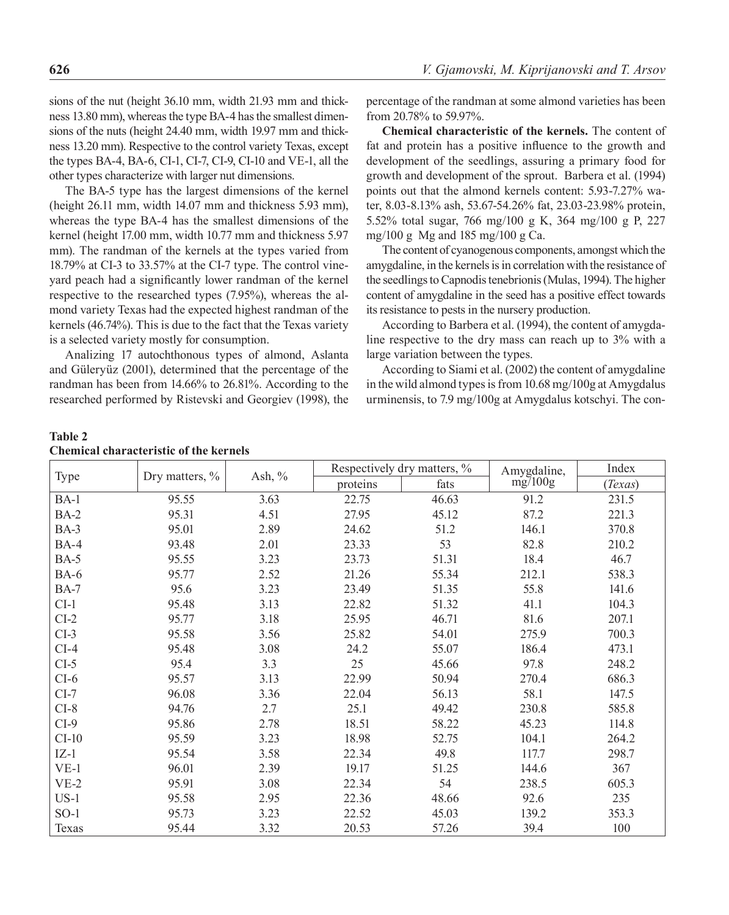sions of the nut (height 36.10 mm, width 21.93 mm and thickness 13.80 mm), whereas the type BA-4 has the smallest dimensions of the nuts (height 24.40 mm, width 19.97 mm and thickness 13.20 mm). Respective to the control variety Texas, except the types BA-4, BA-6, CI-1, CI-7, CI-9, CI-10 and VE-1, all the other types characterize with larger nut dimensions.

The BA-5 type has the largest dimensions of the kernel (height 26.11 mm, width 14.07 mm and thickness 5.93 mm), whereas the type BA-4 has the smallest dimensions of the kernel (height 17.00 mm, width 10.77 mm and thickness 5.97 mm). The randman of the kernels at the types varied from 18.79% at CI-3 to 33.57% at the CI-7 type. The control vineyard peach had a significantly lower randman of the kernel respective to the researched types (7.95%), whereas the almond variety Texas had the expected highest randman of the kernels (46.74%). This is due to the fact that the Texas variety is a selected variety mostly for consumption.

Analizing 17 autochthonous types of almond, Aslanta and Güleryüz (2001), determined that the percentage of the randman has been from 14.66% to 26.81%. According to the researched performed by Ristevski and Georgiev (1998), the percentage of the randman at some almond varieties has been from 20.78% to 59.97%.

**Chemical characteristic of the kernels.** The content of fat and protein has a positive influence to the growth and development of the seedlings, assuring a primary food for growth and development of the sprout. Barbera et al. (1994) points out that the almond kernels content: 5.93-7.27% water, 8.03-8.13% ash, 53.67-54.26% fat, 23.03-23.98% protein, 5.52% total sugar, 766 mg/100 g K, 364 mg/100 g P, 227 mg/100 g Mg and 185 mg/100 g Ca.

The content of cyanogenous components, amongst which the amygdaline, in the kernels is in correlation with the resistance of the seedlings to Capnodis tenebrionis (Mulas, 1994). The higher content of amygdaline in the seed has a positive effect towards its resistance to pests in the nursery production.

According to Barbera et al. (1994), the content of amygdaline respective to the dry mass can reach up to 3% with a large variation between the types.

According to Siami et al. (2002) the content of amygdaline in the wild almond types is from 10.68 mg/100g at Amygdalus urminensis, to 7.9 mg/100g at Amygdalus kotschyi. The con-

#### **Table 2 Chemical characteristic of the kernels**

| Type        | Dry matters, % | Ash, $\%$ |          | Respectively dry matters, % | Amygdaline, | Index   |
|-------------|----------------|-----------|----------|-----------------------------|-------------|---------|
|             |                |           | proteins | fats                        | mg/100g     | (Texas) |
| $BA-1$      | 95.55          | 3.63      | 22.75    | 46.63                       | 91.2        | 231.5   |
| $BA-2$      | 95.31          | 4.51      | 27.95    | 45.12                       | 87.2        | 221.3   |
| $BA-3$      | 95.01          | 2.89      | 24.62    | 51.2                        | 146.1       | 370.8   |
| $BA-4$      | 93.48          | 2.01      | 23.33    | 53                          | 82.8        | 210.2   |
| $BA-5$      | 95.55          | 3.23      | 23.73    | 51.31                       | 18.4        | 46.7    |
| <b>BA-6</b> | 95.77          | 2.52      | 21.26    | 55.34                       | 212.1       | 538.3   |
| <b>BA-7</b> | 95.6           | 3.23      | 23.49    | 51.35                       | 55.8        | 141.6   |
| $CI-1$      | 95.48          | 3.13      | 22.82    | 51.32                       | 41.1        | 104.3   |
| $CI-2$      | 95.77          | 3.18      | 25.95    | 46.71                       | 81.6        | 207.1   |
| $CI-3$      | 95.58          | 3.56      | 25.82    | 54.01                       | 275.9       | 700.3   |
| $CI-4$      | 95.48          | 3.08      | 24.2     | 55.07                       | 186.4       | 473.1   |
| $CI-5$      | 95.4           | 3.3       | 25       | 45.66                       | 97.8        | 248.2   |
| $CI-6$      | 95.57          | 3.13      | 22.99    | 50.94                       | 270.4       | 686.3   |
| $CI-7$      | 96.08          | 3.36      | 22.04    | 56.13                       | 58.1        | 147.5   |
| $CI-8$      | 94.76          | 2.7       | 25.1     | 49.42                       | 230.8       | 585.8   |
| $CI-9$      | 95.86          | 2.78      | 18.51    | 58.22                       | 45.23       | 114.8   |
| $CI-10$     | 95.59          | 3.23      | 18.98    | 52.75                       | 104.1       | 264.2   |
| $IZ-1$      | 95.54          | 3.58      | 22.34    | 49.8                        | 117.7       | 298.7   |
| $VE-1$      | 96.01          | 2.39      | 19.17    | 51.25                       | 144.6       | 367     |
| $VE-2$      | 95.91          | 3.08      | 22.34    | 54                          | 238.5       | 605.3   |
| $US-1$      | 95.58          | 2.95      | 22.36    | 48.66                       | 92.6        | 235     |
| $SO-1$      | 95.73          | 3.23      | 22.52    | 45.03                       | 139.2       | 353.3   |
| Texas       | 95.44          | 3.32      | 20.53    | 57.26                       | 39.4        | 100     |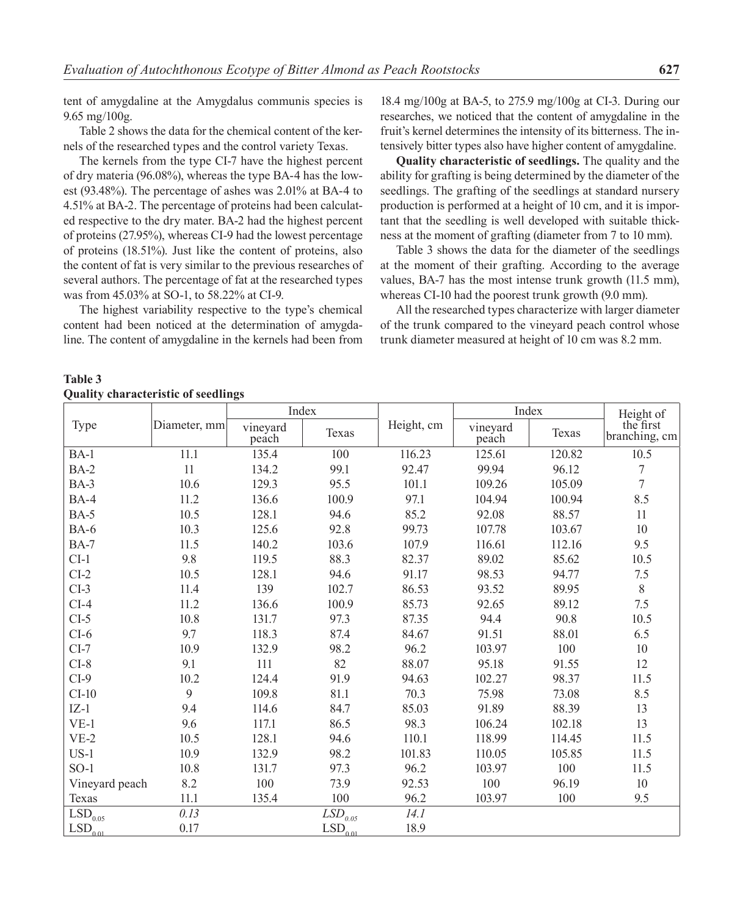tent of amygdaline at the Amygdalus communis species is 9.65 mg/100g.

Table 2 shows the data for the chemical content of the kernels of the researched types and the control variety Texas.

The kernels from the type CI-7 have the highest percent of dry materia (96.08%), whereas the type BA-4 has the lowest (93.48%). The percentage of ashes was 2.01% at BA-4 to 4.51% at BA-2. The percentage of proteins had been calculated respective to the dry mater. BA-2 had the highest percent of proteins (27.95%), whereas CI-9 had the lowest percentage of proteins (18.51%). Just like the content of proteins, also the content of fat is very similar to the previous researches of several authors. The percentage of fat at the researched types was from 45.03% at SO-1, to 58.22% at CI-9.

The highest variability respective to the type's chemical content had been noticed at the determination of amygdaline. The content of amygdaline in the kernels had been from 18.4 mg/100g at BA-5, to 275.9 mg/100g at CI-3. During our researches, we noticed that the content of amygdaline in the fruit's kernel determines the intensity of its bitterness. The intensively bitter types also have higher content of amygdaline.

**Quality characteristic of seedlings.** The quality and the ability for grafting is being determined by the diameter of the seedlings. The grafting of the seedlings at standard nursery production is performed at a height of 10 cm, and it is important that the seedling is well developed with suitable thickness at the moment of grafting (diameter from 7 to 10 mm).

Table 3 shows the data for the diameter of the seedlings at the moment of their grafting. According to the average values, BA-7 has the most intense trunk growth (11.5 mm), whereas CI-10 had the poorest trunk growth (9.0 mm).

All the researched types characterize with larger diameter of the trunk compared to the vineyard peach control whose trunk diameter measured at height of 10 cm was 8.2 mm.

**Table 3 Quality characteristic of seedlings**

|                       | Diameter, mm | Index             |                                            |            | Index             |        | Height of                  |
|-----------------------|--------------|-------------------|--------------------------------------------|------------|-------------------|--------|----------------------------|
| Type                  |              | vineyard<br>peach | Texas                                      | Height, cm | vineyard<br>peach | Texas  | the first<br>branching, cm |
| $BA-1$                | 11.1         | 135.4             | 100                                        | 116.23     | 125.61            | 120.82 | 10.5                       |
| $BA-2$                | 11           | 134.2             | 99.1                                       | 92.47      | 99.94             | 96.12  | $\tau$                     |
| $BA-3$                | 10.6         | 129.3             | 95.5                                       | 101.1      | 109.26            | 105.09 | $\boldsymbol{7}$           |
| $BA-4$                | 11.2         | 136.6             | 100.9                                      | 97.1       | 104.94            | 100.94 | 8.5                        |
| <b>BA-5</b>           | 10.5         | 128.1             | 94.6                                       | 85.2       | 92.08             | 88.57  | 11                         |
| <b>BA-6</b>           | 10.3         | 125.6             | 92.8                                       | 99.73      | 107.78            | 103.67 | 10                         |
| <b>BA-7</b>           | 11.5         | 140.2             | 103.6                                      | 107.9      | 116.61            | 112.16 | 9.5                        |
| $CI-1$                | 9.8          | 119.5             | 88.3                                       | 82.37      | 89.02             | 85.62  | 10.5                       |
| $CI-2$                | 10.5         | 128.1             | 94.6                                       | 91.17      | 98.53             | 94.77  | 7.5                        |
| $CI-3$                | 11.4         | 139               | 102.7                                      | 86.53      | 93.52             | 89.95  | $8\,$                      |
| $CI-4$                | 11.2         | 136.6             | 100.9                                      | 85.73      | 92.65             | 89.12  | 7.5                        |
| $CI-5$                | 10.8         | 131.7             | 97.3                                       | 87.35      | 94.4              | 90.8   | 10.5                       |
| $CI-6$                | 9.7          | 118.3             | 87.4                                       | 84.67      | 91.51             | 88.01  | 6.5                        |
| $CI-7$                | 10.9         | 132.9             | 98.2                                       | 96.2       | 103.97            | 100    | 10                         |
| $CI-8$                | 9.1          | 111               | 82                                         | 88.07      | 95.18             | 91.55  | 12                         |
| $CI-9$                | 10.2         | 124.4             | 91.9                                       | 94.63      | 102.27            | 98.37  | 11.5                       |
| $CI-10$               | 9            | 109.8             | 81.1                                       | 70.3       | 75.98             | 73.08  | 8.5                        |
| $IZ-1$                | 9.4          | 114.6             | 84.7                                       | 85.03      | 91.89             | 88.39  | 13                         |
| $VE-1$                | 9.6          | 117.1             | 86.5                                       | 98.3       | 106.24            | 102.18 | 13                         |
| $VE-2$                | 10.5         | 128.1             | 94.6                                       | 110.1      | 118.99            | 114.45 | 11.5                       |
| $US-1$                | 10.9         | 132.9             | 98.2                                       | 101.83     | 110.05            | 105.85 | 11.5                       |
| $SO-1$                | 10.8         | 131.7             | 97.3                                       | 96.2       | 103.97            | 100    | 11.5                       |
| Vineyard peach        | 8.2          | 100               | 73.9                                       | 92.53      | 100               | 96.19  | $10\,$                     |
| Texas                 | 11.1         | 135.4             | 100                                        | 96.2       | 103.97            | 100    | 9.5                        |
| $\mathrm{LSD}_{0.05}$ | 0.13         |                   | $\overline{LSD}_{\scriptscriptstyle 0.05}$ | 14.1       |                   |        |                            |
| $\mathrm{LSD}_{0.01}$ | 0.17         |                   | $\mathrm{LSD}_{0.01}$                      | 18.9       |                   |        |                            |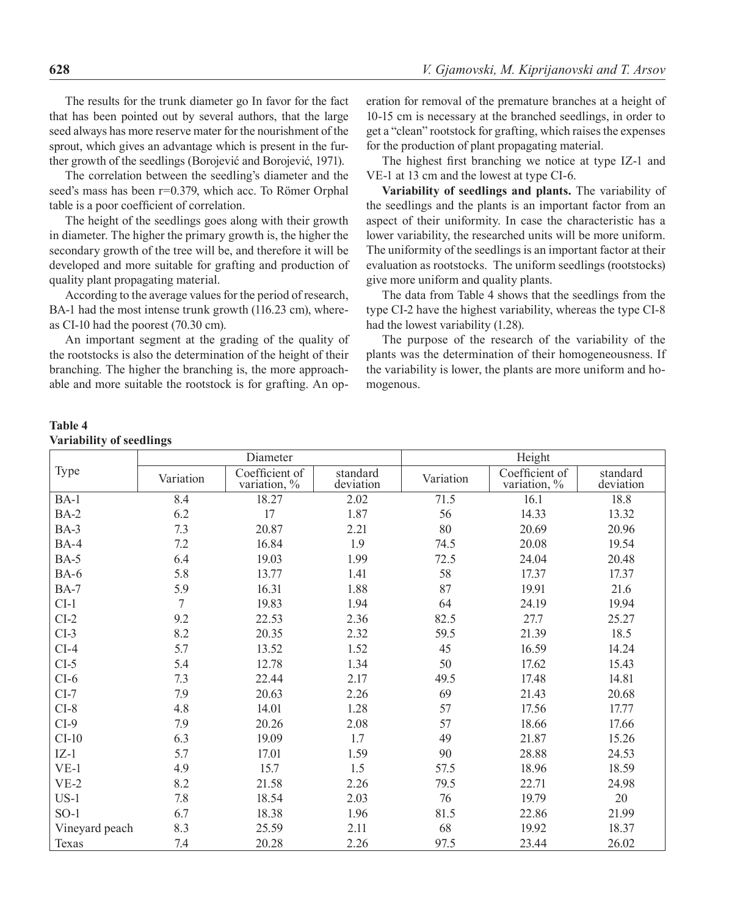The results for the trunk diameter go In favor for the fact that has been pointed out by several authors, that the large seed always has more reserve mater for the nourishment of the sprout, which gives an advantage which is present in the further growth of the seedlings (Borojević and Borojević, 1971).

The correlation between the seedling's diameter and the seed's mass has been r=0.379, which acc. To Römer Orphal table is a poor coefficient of correlation.

The height of the seedlings goes along with their growth in diameter. The higher the primary growth is, the higher the secondary growth of the tree will be, and therefore it will be developed and more suitable for grafting and production of quality plant propagating material.

According to the average values for the period of research, BA-1 had the most intense trunk growth (116.23 cm), whereas CI-10 had the poorest (70.30 cm).

An important segment at the grading of the quality of the rootstocks is also the determination of the height of their branching. The higher the branching is, the more approachable and more suitable the rootstock is for grafting. An operation for removal of the premature branches at a height of 10-15 cm is necessary at the branched seedlings, in order to get a "clean" rootstock for grafting, which raises the expenses for the production of plant propagating material.

The highest first branching we notice at type IZ-1 and VE-1 at 13 cm and the lowest at type CI-6.

**Variability of seedlings and plants.** The variability of the seedlings and the plants is an important factor from an aspect of their uniformity. In case the characteristic has a lower variability, the researched units will be more uniform. The uniformity of the seedlings is an important factor at their evaluation as rootstocks. The uniform seedlings (rootstocks) give more uniform and quality plants.

The data from Table 4 shows that the seedlings from the type CI-2 have the highest variability, whereas the type CI-8 had the lowest variability (1.28).

The purpose of the research of the variability of the plants was the determination of their homogeneousness. If the variability is lower, the plants are more uniform and homogenous.

#### **Table 4 Variability of seedlings**

|                |                | Diameter                       |                       | Height    |                                   |                       |  |
|----------------|----------------|--------------------------------|-----------------------|-----------|-----------------------------------|-----------------------|--|
| Type           | Variation      | Coefficient of<br>variation, % | standard<br>deviation | Variation | Coefficient of<br>variation, $\%$ | standard<br>deviation |  |
| $BA-1$         | 8.4            | 18.27                          | 2.02                  | 71.5      | 16.1                              | 18.8                  |  |
| $BA-2$         | 6.2            | 17                             | 1.87                  | 56        | 14.33                             | 13.32                 |  |
| $BA-3$         | 7.3            | 20.87                          | 2.21                  | 80        | 20.69                             | 20.96                 |  |
| $BA-4$         | 7.2            | 16.84                          | 1.9                   | 74.5      | 20.08                             | 19.54                 |  |
| <b>BA-5</b>    | 6.4            | 19.03                          | 1.99                  | 72.5      | 24.04                             | 20.48                 |  |
| <b>BA-6</b>    | 5.8            | 13.77                          | 1.41                  | 58        | 17.37                             | 17.37                 |  |
| <b>BA-7</b>    | 5.9            | 16.31                          | 1.88                  | 87        | 19.91                             | 21.6                  |  |
| $CI-1$         | $\overline{7}$ | 19.83                          | 1.94                  | 64        | 24.19                             | 19.94                 |  |
| $CI-2$         | 9.2            | 22.53                          | 2.36                  | 82.5      | 27.7                              | 25.27                 |  |
| $CI-3$         | 8.2            | 20.35                          | 2.32                  | 59.5      | 21.39                             | 18.5                  |  |
| $CI-4$         | 5.7            | 13.52                          | 1.52                  | 45        | 16.59                             | 14.24                 |  |
| $CI-5$         | 5.4            | 12.78                          | 1.34                  | 50        | 17.62                             | 15.43                 |  |
| $CI-6$         | 7.3            | 22.44                          | 2.17                  | 49.5      | 17.48                             | 14.81                 |  |
| $CI-7$         | 7.9            | 20.63                          | 2.26                  | 69        | 21.43                             | 20.68                 |  |
| $CI-8$         | 4.8            | 14.01                          | 1.28                  | 57        | 17.56                             | 17.77                 |  |
| $CI-9$         | 7.9            | 20.26                          | 2.08                  | 57        | 18.66                             | 17.66                 |  |
| $CI-10$        | 6.3            | 19.09                          | 1.7                   | 49        | 21.87                             | 15.26                 |  |
| $IZ-1$         | 5.7            | 17.01                          | 1.59                  | 90        | 28.88                             | 24.53                 |  |
| $VE-1$         | 4.9            | 15.7                           | 1.5                   | 57.5      | 18.96                             | 18.59                 |  |
| $VE-2$         | 8.2            | 21.58                          | 2.26                  | 79.5      | 22.71                             | 24.98                 |  |
| $US-1$         | 7.8            | 18.54                          | 2.03                  | 76        | 19.79                             | 20                    |  |
| $SO-1$         | 6.7            | 18.38                          | 1.96                  | 81.5      | 22.86                             | 21.99                 |  |
| Vineyard peach | 8.3            | 25.59                          | 2.11                  | 68        | 19.92                             | 18.37                 |  |
| Texas          | 7.4            | 20.28                          | 2.26                  | 97.5      | 23.44                             | 26.02                 |  |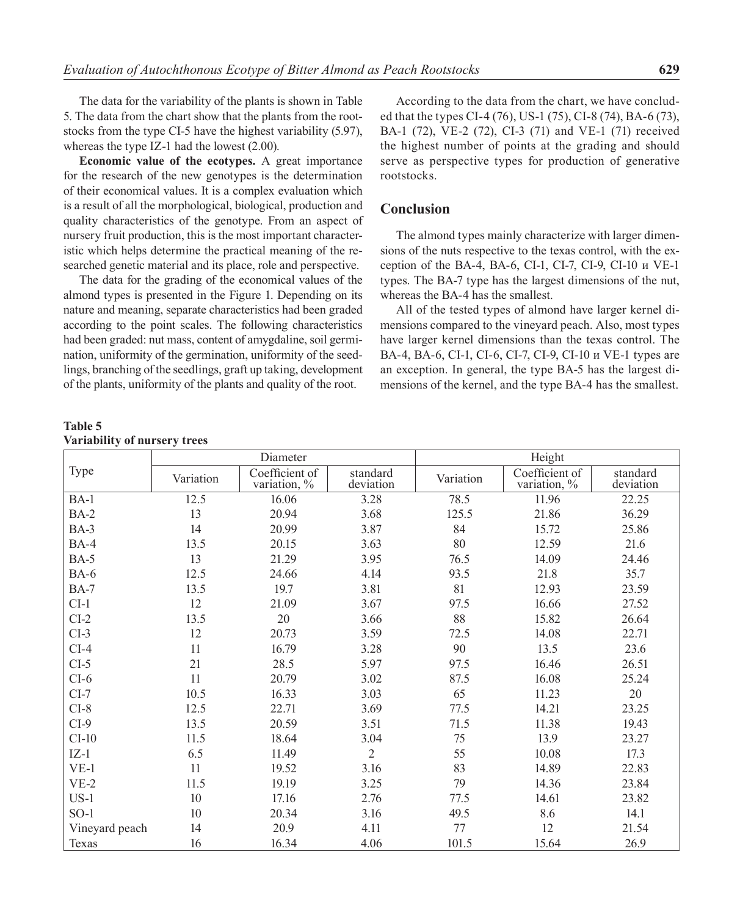The data for the variability of the plants is shown in Table 5. The data from the chart show that the plants from the rootstocks from the type CI-5 have the highest variability (5.97), whereas the type IZ-1 had the lowest (2.00).

**Economic value of the ecotypes.** A great importance for the research of the new genotypes is the determination of their economical values. It is a complex evaluation which is a result of all the morphological, biological, production and quality characteristics of the genotype. From an aspect of nursery fruit production, this is the most important characteristic which helps determine the practical meaning of the researched genetic material and its place, role and perspective.

The data for the grading of the economical values of the almond types is presented in the Figure 1. Depending on its nature and meaning, separate characteristics had been graded according to the point scales. The following characteristics had been graded: nut mass, content of amygdaline, soil germination, uniformity of the germination, uniformity of the seedlings, branching of the seedlings, graft up taking, development of the plants, uniformity of the plants and quality of the root.

**Table 5 Variability of nursery trees**

According to the data from the chart, we have concluded that the types CI-4 (76), US-1 (75), CI-8 (74), BA-6 (73), BA-1 (72), VE-2 (72), CI-3 (71) and VE-1 (71) received the highest number of points at the grading and should serve as perspective types for production of generative rootstocks.

#### **Conclusion**

The almond types mainly characterize with larger dimensions of the nuts respective to the texas control, with the exception of the BA-4, BA-6, CI-1, CI-7, CI-9, CI-10 и VE-1 types. The BA-7 type has the largest dimensions of the nut, whereas the BA-4 has the smallest.

All of the tested types of almond have larger kernel dimensions compared to the vineyard peach. Also, most types have larger kernel dimensions than the texas control. The BA-4, BA-6, CI-1, CI-6, CI-7, CI-9, CI-10 и VE-1 types are an exception. In general, the type BA-5 has the largest dimensions of the kernel, and the type BA-4 has the smallest.

|                |           | Diameter                       |                       | Height    |                                |                       |  |
|----------------|-----------|--------------------------------|-----------------------|-----------|--------------------------------|-----------------------|--|
| Type           | Variation | Coefficient of<br>variation, % | standard<br>deviation | Variation | Coefficient of<br>variation, % | standard<br>deviation |  |
| $BA-1$         | 12.5      | 16.06                          | 3.28                  | 78.5      | 11.96                          | 22.25                 |  |
| $BA-2$         | 13        | 20.94                          | 3.68                  | 125.5     | 21.86                          | 36.29                 |  |
| $BA-3$         | 14        | 20.99                          | 3.87                  | 84        | 15.72                          | 25.86                 |  |
| $BA-4$         | 13.5      | 20.15                          | 3.63                  | 80        | 12.59                          | 21.6                  |  |
| $BA-5$         | 13        | 21.29                          | 3.95                  | 76.5      | 14.09                          | 24.46                 |  |
| <b>BA-6</b>    | 12.5      | 24.66                          | 4.14                  | 93.5      | 21.8                           | 35.7                  |  |
| <b>BA-7</b>    | 13.5      | 19.7                           | 3.81                  | 81        | 12.93                          | 23.59                 |  |
| $CI-1$         | 12        | 21.09                          | 3.67                  | 97.5      | 16.66                          | 27.52                 |  |
| $CI-2$         | 13.5      | 20                             | 3.66                  | 88        | 15.82                          | 26.64                 |  |
| $CI-3$         | 12        | 20.73                          | 3.59                  | 72.5      | 14.08                          | 22.71                 |  |
| $CI-4$         | 11        | 16.79                          | 3.28                  | 90        | 13.5                           | 23.6                  |  |
| $CI-5$         | 21        | 28.5                           | 5.97                  | 97.5      | 16.46                          | 26.51                 |  |
| $CI-6$         | 11        | 20.79                          | 3.02                  | 87.5      | 16.08                          | 25.24                 |  |
| $CI-7$         | 10.5      | 16.33                          | 3.03                  | 65        | 11.23                          | 20                    |  |
| $CI-8$         | 12.5      | 22.71                          | 3.69                  | 77.5      | 14.21                          | 23.25                 |  |
| $CI-9$         | 13.5      | 20.59                          | 3.51                  | 71.5      | 11.38                          | 19.43                 |  |
| $CI-10$        | 11.5      | 18.64                          | 3.04                  | 75        | 13.9                           | 23.27                 |  |
| $IZ-1$         | 6.5       | 11.49                          | $\overline{2}$        | 55        | 10.08                          | 17.3                  |  |
| $VE-1$         | 11        | 19.52                          | 3.16                  | 83        | 14.89                          | 22.83                 |  |
| $VE-2$         | 11.5      | 19.19                          | 3.25                  | 79        | 14.36                          | 23.84                 |  |
| $US-1$         | 10        | 17.16                          | 2.76                  | 77.5      | 14.61                          | 23.82                 |  |
| $SO-1$         | 10        | 20.34                          | 3.16                  | 49.5      | 8.6                            | 14.1                  |  |
| Vineyard peach | 14        | 20.9                           | 4.11                  | 77        | 12                             | 21.54                 |  |
| Texas          | 16        | 16.34                          | 4.06                  | 101.5     | 15.64                          | 26.9                  |  |